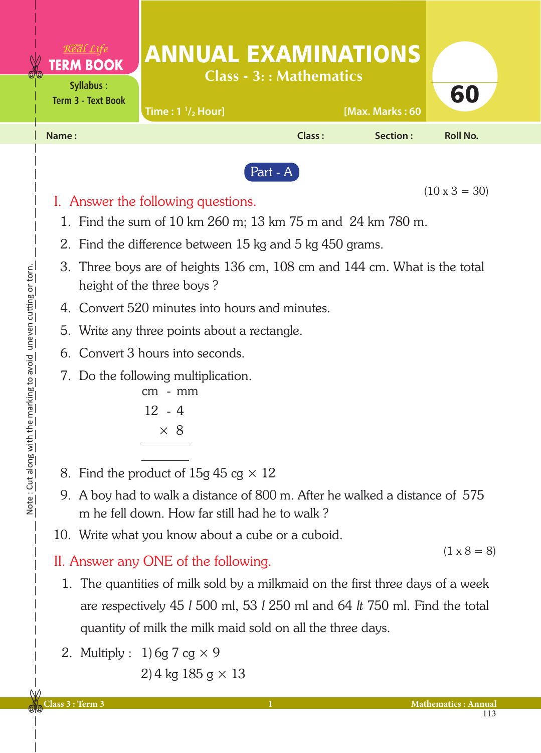|                                              | <b><i>TERM BOOK</i></b><br>Syllabus:<br><b>Term 3 - Text Book</b> | <b>ANNUAL EXAMINATIONS</b><br>Time: $1 \frac{1}{2}$ Hour]                                                                                                                                                                                                                                                                                                                                                                                                                                                                                     | <b>Class - 3:: Mathematics</b> | [Max. Marks: 60 | 60                   |
|----------------------------------------------|-------------------------------------------------------------------|-----------------------------------------------------------------------------------------------------------------------------------------------------------------------------------------------------------------------------------------------------------------------------------------------------------------------------------------------------------------------------------------------------------------------------------------------------------------------------------------------------------------------------------------------|--------------------------------|-----------------|----------------------|
|                                              | Name:                                                             |                                                                                                                                                                                                                                                                                                                                                                                                                                                                                                                                               | Class:                         | <b>Section:</b> | <b>Roll No.</b>      |
| the marking to avoid uneven cutting or torn. | 3.<br>4.                                                          | I. Answer the following questions.<br>1. Find the sum of 10 km 260 m; 13 km 75 m and 24 km 780 m.<br>2. Find the difference between 15 kg and 5 kg 450 grams.<br>Three boys are of heights 136 cm, 108 cm and 144 cm. What is the total<br>height of the three boys?<br>Convert 520 minutes into hours and minutes.<br>5. Write any three points about a rectangle.<br>6. Convert 3 hours into seconds.<br>7. Do the following multiplication.<br>$-$ mm<br>cm<br>$12 - 4$<br>$\times$ 8                                                      | Part - A                       |                 | $(10 \times 3 = 30)$ |
| Note: Cut along with                         | 1.                                                                | 8. Find the product of $15g 45 cg \times 12$<br>9. A boy had to walk a distance of 800 m. After he walked a distance of 575<br>m he fell down. How far still had he to walk?<br>10. Write what you know about a cube or a cuboid.<br>II. Answer any ONE of the following.<br>The quantities of milk sold by a milkmaid on the first three days of a week<br>are respectively 45 1 500 ml, 53 1 250 ml and 64 lt 750 ml. Find the total<br>quantity of milk the milk maid sold on all the three days.<br>2. Multiply : $1)$ 6g 7 cg $\times$ 9 |                                |                 | $(1 \times 8 = 8)$   |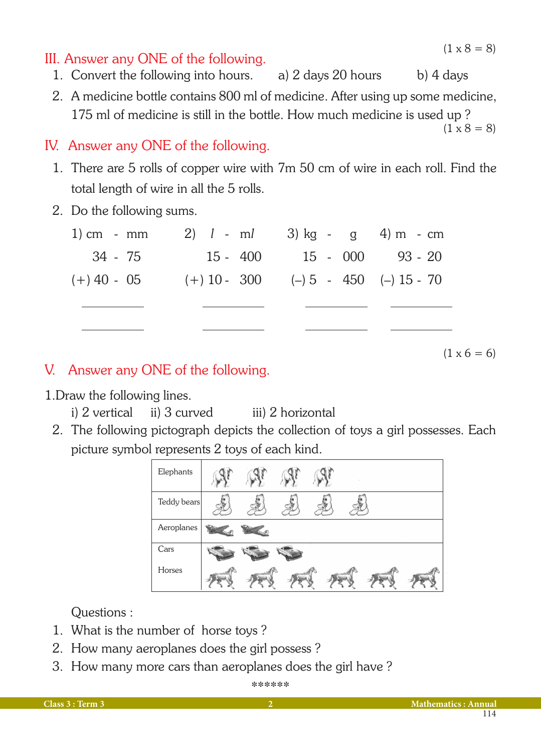$(1 \times 8 = 8)$ 

 $(1 \times 8 = 8)$ 

### III. Answer any ONE of the following.

- 1. Convert the following into hours. a) 2 days 20 hours b) 4 days
- 2. A medicine bottle contains 800 ml of medicine. After using up some medicine, 175 ml of medicine is still in the bottle. How much medicine is used up ?

IV. Answer any ONE of the following.

- 1. There are 5 rolls of copper wire with 7m 50 cm of wire in each roll. Find the total length of wire in all the 5 rolls.
- 2. Do the following sums.

| 1) cm - mm    | 2) $l - ml$ 3) kg - g 4) m - cm            |                    |  |
|---------------|--------------------------------------------|--------------------|--|
| 34 - 75       | 15 - 400                                   | $15 - 000$ 93 - 20 |  |
| $(+)$ 40 - 05 | $(+) 10 - 300$ $(-) 5 - 450$ $(-) 15 - 70$ |                    |  |
|               |                                            |                    |  |
|               |                                            |                    |  |

 $(1 \times 6 = 6)$ 

## V. Answer any ONE of the following.

1.Draw the following lines.

- i) 2 vertical ii) 3 curved iii) 2 horizontal
- 2. The following pictograph depicts the collection of toys a girl possesses. Each picture symbol represents 2 toys of each kind.



Questions :

- 1. What is the number of horse toys ?
- 2. How many aeroplanes does the girl possess ?
- 3. How many more cars than aeroplanes does the girl have ?

\*\*\*\*\*\*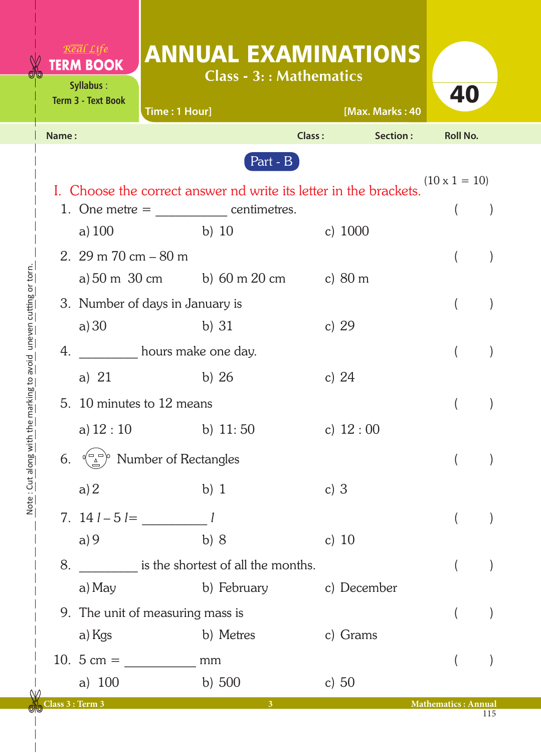| X                                              |       | Real Life<br><b>TERM BOOK</b><br>Syllabus:<br><b>Term 3 - Text Book</b> | <b>ANNUAL EXAMINATIONS</b><br>Time: 1 Hour]                                          | <b>Class - 3:: Mathematics</b> | [Max. Marks: 40 | 40                         |  |
|------------------------------------------------|-------|-------------------------------------------------------------------------|--------------------------------------------------------------------------------------|--------------------------------|-----------------|----------------------------|--|
|                                                | Name: |                                                                         |                                                                                      | Class:                         | Section:        | <b>Roll No.</b>            |  |
|                                                |       |                                                                         |                                                                                      | Part - B                       |                 |                            |  |
|                                                |       |                                                                         | I. Choose the correct answer nd write its letter in the brackets.                    |                                |                 | $(10 \times 1 = 10)$       |  |
|                                                |       |                                                                         |                                                                                      |                                |                 |                            |  |
|                                                |       | a) $100$                                                                | b) $10$                                                                              |                                | c) $1000$       |                            |  |
|                                                |       | 2. $29 \text{ m } 70 \text{ cm} - 80 \text{ m}$                         |                                                                                      |                                |                 |                            |  |
|                                                |       |                                                                         | a) $50 \text{ m } 30 \text{ cm}$ b) $60 \text{ m } 20 \text{ cm}$ c) $80 \text{ m }$ |                                |                 |                            |  |
| h the marking to avoid uneven cutting or torn. |       |                                                                         | 3. Number of days in January is                                                      |                                |                 |                            |  |
|                                                |       | a) 30                                                                   | b) $31$                                                                              |                                | c) $29$         |                            |  |
|                                                | 4.    |                                                                         | hours make one day.                                                                  |                                |                 |                            |  |
|                                                |       | a) $21$                                                                 | b) $26$                                                                              |                                | c) $24$         |                            |  |
|                                                |       | 5. 10 minutes to 12 means                                               |                                                                                      |                                |                 |                            |  |
|                                                |       | a) $12:10$                                                              | b) $11:50$                                                                           |                                | c) $12:00$      |                            |  |
|                                                | 6.    | Number of Rectangles                                                    |                                                                                      |                                |                 |                            |  |
| Note: Cut along wit                            |       | a)2                                                                     | $b)$ 1                                                                               | c) $3$                         |                 |                            |  |
|                                                |       |                                                                         | 7. $14 l - 5 l = 1$                                                                  |                                |                 |                            |  |
|                                                |       | a)9                                                                     | b) 8                                                                                 |                                | c) $10$         |                            |  |
|                                                | 8.    |                                                                         | is the shortest of all the months.                                                   |                                |                 |                            |  |
|                                                |       | a) May                                                                  |                                                                                      | b) February                    | c) December     |                            |  |
|                                                |       |                                                                         | 9. The unit of measuring mass is                                                     |                                |                 |                            |  |
|                                                |       | a) Kgs                                                                  | b) Metres                                                                            |                                | c) Grams        |                            |  |
|                                                |       | 10. $5 \text{ cm} =$                                                    | mm                                                                                   |                                |                 |                            |  |
|                                                |       | a) $100$                                                                | b) $500$                                                                             |                                | c) $50$         |                            |  |
|                                                |       | Class 3 : Term 3                                                        |                                                                                      | $\overline{3}$                 |                 | <b>Mathematics: Annual</b> |  |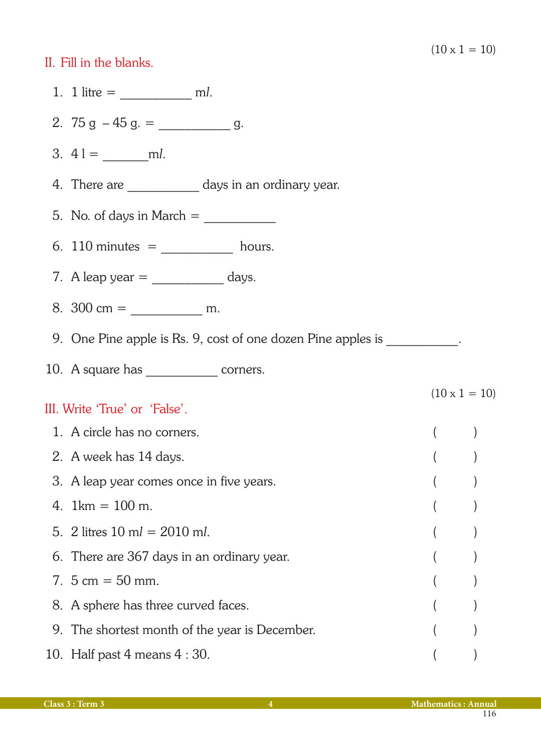### II. Fill in the blanks.

| 1. 1 litre = $\frac{1}{\sqrt{1-\frac{1}{1-\frac{1}{1-\frac{1}{1-\frac{1}{1-\frac{1}{1-\frac{1}{1-\frac{1}{1-\frac{1}{1-\frac{1}{1-\frac{1}{1-\frac{1}{1-\frac{1}{1-\frac{1}{1-\frac{1}{1-\frac{1}{1-\frac{1}{1-\frac{1}{1-\frac{1}{1-\frac{1}{1-\frac{1}{1-\frac{1}{1-\frac{1}{1-\frac{1}{1-\frac{1}{1-\frac{1}{1-\frac{1}{1-\frac{1}{1-\frac{1}{1-\frac{1}{1-\frac{1}{1-\frac{1}{1-\frac{1}{1-\frac{1}{1$ |                      |  |
|------------------------------------------------------------------------------------------------------------------------------------------------------------------------------------------------------------------------------------------------------------------------------------------------------------------------------------------------------------------------------------------------------------|----------------------|--|
|                                                                                                                                                                                                                                                                                                                                                                                                            |                      |  |
| 3. $41 = \underline{\hspace{2cm}}$ ml.                                                                                                                                                                                                                                                                                                                                                                     |                      |  |
| 4. There are ______________ days in an ordinary year.                                                                                                                                                                                                                                                                                                                                                      |                      |  |
|                                                                                                                                                                                                                                                                                                                                                                                                            |                      |  |
| 6. 110 minutes $=$ ________________ hours.                                                                                                                                                                                                                                                                                                                                                                 |                      |  |
|                                                                                                                                                                                                                                                                                                                                                                                                            |                      |  |
|                                                                                                                                                                                                                                                                                                                                                                                                            |                      |  |
| 9. One Pine apple is Rs. 9, cost of one dozen Pine apples is ___________.                                                                                                                                                                                                                                                                                                                                  |                      |  |
|                                                                                                                                                                                                                                                                                                                                                                                                            |                      |  |
| III. Write 'True' or 'False'.                                                                                                                                                                                                                                                                                                                                                                              | $(10 \times 1 = 10)$ |  |
| 1. A circle has no corners.                                                                                                                                                                                                                                                                                                                                                                                | $($ $)$              |  |
| 2. A week has 14 days.                                                                                                                                                                                                                                                                                                                                                                                     |                      |  |
| 3. A leap year comes once in five years.                                                                                                                                                                                                                                                                                                                                                                   |                      |  |
| 4. $1 \text{km} = 100 \text{ m}$ .                                                                                                                                                                                                                                                                                                                                                                         |                      |  |
| 5. 2 litres $10 \text{ ml} = 2010 \text{ ml}$ .                                                                                                                                                                                                                                                                                                                                                            |                      |  |
| 6. There are 367 days in an ordinary year.                                                                                                                                                                                                                                                                                                                                                                 |                      |  |
| 7. $5 \text{ cm} = 50 \text{ mm}$ .                                                                                                                                                                                                                                                                                                                                                                        |                      |  |
| 8. A sphere has three curved faces.                                                                                                                                                                                                                                                                                                                                                                        |                      |  |
| 9. The shortest month of the year is December.                                                                                                                                                                                                                                                                                                                                                             |                      |  |
| 10. Half past $4$ means $4:30$ .                                                                                                                                                                                                                                                                                                                                                                           |                      |  |